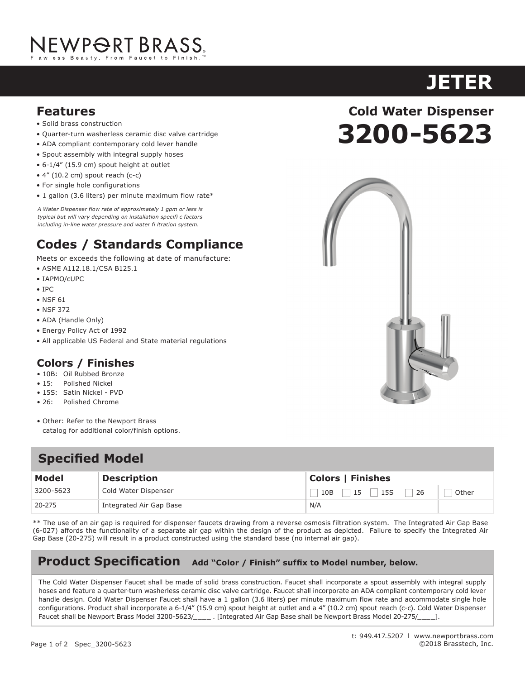# NEWP<del>O</del>RT BRASS.

- Solid brass construction
- Quarter-turn washerless ceramic disc valve cartridge
- ADA compliant contemporary cold lever handle
- Spout assembly with integral supply hoses
- 6-1/4" (15.9 cm) spout height at outlet
- 4" (10.2 cm) spout reach (c-c)
- For single hole configurations
- 1 gallon (3.6 liters) per minute maximum flow rate\*

*A Water Dispenser flow rate of approximately 1 gpm or less is typical but will vary depending on installation specifi c factors including in-line water pressure and water fi ltration system.*

### **Codes / Standards Compliance**

Meets or exceeds the following at date of manufacture:

- ASME A112.18.1/CSA B125.1
- IAPMO/cUPC
- IPC
- NSF 61
- NSF 372
- ADA (Handle Only)
- Energy Policy Act of 1992
- All applicable US Federal and State material regulations

#### **Colors / Finishes**

- 10B: Oil Rubbed Bronze
- 15: Polished Nickel
- 15S: Satin Nickel PVD
- 26: Polished Chrome
- Other: Refer to the Newport Brass catalog for additional color/finish options.

#### **Specified Model**

| <b>Model</b> | <b>Description</b>      | <b>Colors   Finishes</b> |       |
|--------------|-------------------------|--------------------------|-------|
| 3200-5623    | Cold Water Dispenser    | 15S<br>26<br>10B<br>15   | Other |
| 20-275       | Integrated Air Gap Base | N/A                      |       |

\*\* The use of an air gap is required for dispenser faucets drawing from a reverse osmosis filtration system. The Integrated Air Gap Base (6-027) affords the functionality of a separate air gap within the design of the product as depicted. Failure to specify the Integrated Air Gap Base (20-275) will result in a product constructed using the standard base (no internal air gap).

#### Product Specification Add "Color / Finish" suffix to Model number, below.

The Cold Water Dispenser Faucet shall be made of solid brass construction. Faucet shall incorporate a spout assembly with integral supply hoses and feature a quarter-turn washerless ceramic disc valve cartridge. Faucet shall incorporate an ADA compliant contemporary cold lever handle design. Cold Water Dispenser Faucet shall have a 1 gallon (3.6 liters) per minute maximum flow rate and accommodate single hole configurations. Product shall incorporate a 6-1/4" (15.9 cm) spout height at outlet and a 4" (10.2 cm) spout reach (c-c). Cold Water Dispenser Faucet shall be Newport Brass Model 3200-5623/\_\_\_\_\_ . [Integrated Air Gap Base shall be Newport Brass Model 20-275/\_\_\_\_].

## **Features Cold Water Dispenser 3200-5623**

**JETER**